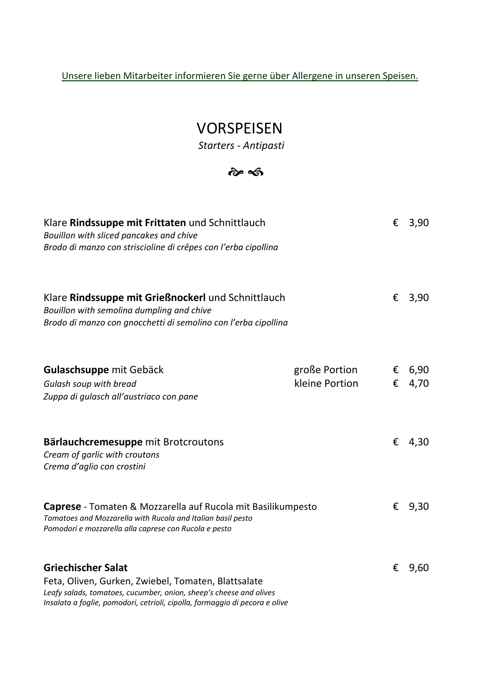Unsere lieben Mitarbeiter informieren Sie gerne über Allergene in unseren Speisen.

#### VORSPEISEN

 *Starters - Antipasti* 

#### $\hat{\boldsymbol{\alpha}}$   $\hat{\boldsymbol{\alpha}}$

| Klare Rindssuppe mit Frittaten und Schnittlauch<br>Bouillon with sliced pancakes and chive<br>Brodo di manzo con striscioline di crêpes con l'erba cipollina                         |                                 | €      | 3,90         |
|--------------------------------------------------------------------------------------------------------------------------------------------------------------------------------------|---------------------------------|--------|--------------|
| Klare Rindssuppe mit Grießnockerl und Schnittlauch<br>Bouillon with semolina dumpling and chive<br>Brodo di manzo con gnocchetti di semolino con l'erba cipollina                    |                                 | €      | 3,90         |
| <b>Gulaschsuppe mit Gebäck</b><br>Gulash soup with bread<br>Zuppa di gulasch all'austriaco con pane                                                                                  | große Portion<br>kleine Portion | €<br>€ | 6,90<br>4,70 |
| Bärlauchcremesuppe mit Brotcroutons<br>Cream of garlic with croutons<br>Crema d'aglio con crostini                                                                                   |                                 | €      | 4,30         |
| Caprese - Tomaten & Mozzarella auf Rucola mit Basilikumpesto<br>Tomatoes and Mozzarella with Rucola and Italian basil pesto<br>Pomodori e mozzarella alla caprese con Rucola e pesto |                                 | €      | 9,30         |
| <b>Griechischer Salat</b><br>Feta, Oliven, Gurken, Zwiebel, Tomaten, Blattsalate<br>Leafy salads, tomatoes, cucumber, onion, sheep's cheese and olives                               |                                 | €      | 9,60         |

*Insalata a foglie, pomodori, cetrioli, cipolla, formaggio di pecora e olive*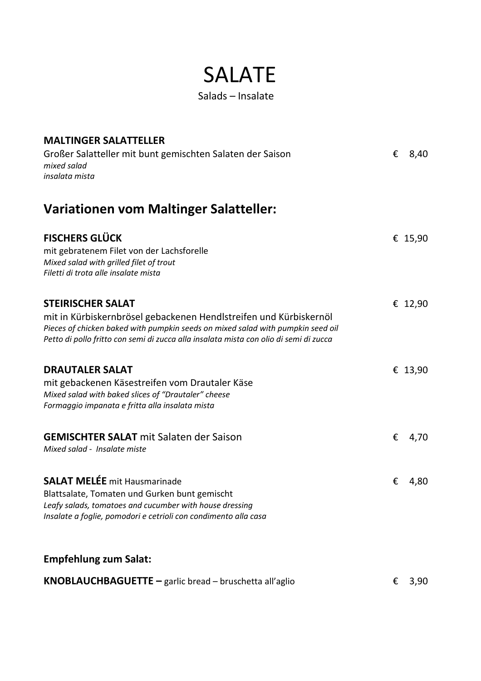#### SALATE

Salads – Insalate

| <b>MALTINGER SALATTELLER</b><br>Großer Salatteller mit bunt gemischten Salaten der Saison<br>mixed salad<br>insalata mista                                                                                                                                                | € | 8,40    |
|---------------------------------------------------------------------------------------------------------------------------------------------------------------------------------------------------------------------------------------------------------------------------|---|---------|
| Variationen vom Maltinger Salatteller:                                                                                                                                                                                                                                    |   |         |
| <b>FISCHERS GLÜCK</b><br>mit gebratenem Filet von der Lachsforelle<br>Mixed salad with grilled filet of trout<br>Filetti di trota alle insalate mista                                                                                                                     |   | € 15,90 |
| <b>STEIRISCHER SALAT</b><br>mit in Kürbiskernbrösel gebackenen Hendlstreifen und Kürbiskernöl<br>Pieces of chicken baked with pumpkin seeds on mixed salad with pumpkin seed oil<br>Petto di pollo fritto con semi di zucca alla insalata mista con olio di semi di zucca |   | € 12,90 |
| <b>DRAUTALER SALAT</b><br>mit gebackenen Käsestreifen vom Drautaler Käse<br>Mixed salad with baked slices of "Drautaler" cheese<br>Formaggio impanata e fritta alla insalata mista                                                                                        |   | € 13,90 |
| <b>GEMISCHTER SALAT</b> mit Salaten der Saison<br>Mixed salad - Insalate miste                                                                                                                                                                                            | € | 4,70    |
| <b>SALAT MELÉE</b> mit Hausmarinade<br>Blattsalate, Tomaten und Gurken bunt gemischt<br>Leafy salads, tomatoes and cucumber with house dressing<br>Insalate a foglie, pomodori e cetrioli con condimento alla casa                                                        | € | 4,80    |
| <b>Empfehlung zum Salat:</b>                                                                                                                                                                                                                                              |   |         |
| <b>KNOBLAUCHBAGUETTE</b> $-$ garlic bread $-$ bruschetta all'aglio                                                                                                                                                                                                        | € | 3,90    |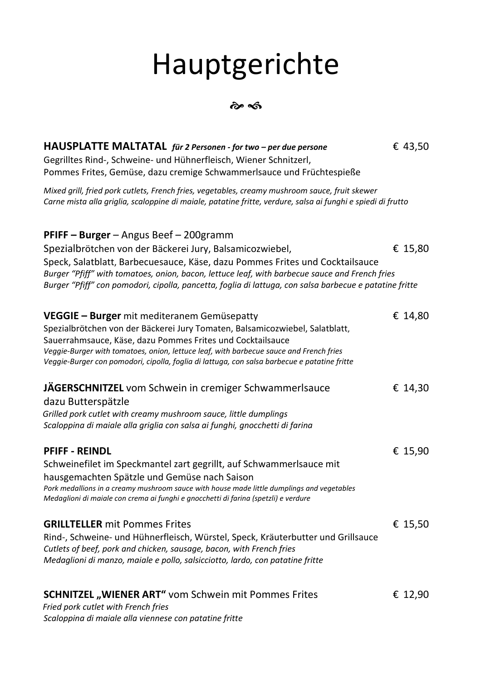# Hauptgerichte

 $\hat{\sigma}$ 

| HAUSPLATTE MALTATAL für 2 Personen - for two – per due persone<br>Gegrilltes Rind-, Schweine- und Hühnerfleisch, Wiener Schnitzerl,<br>Pommes Frites, Gemüse, dazu cremige Schwammerlsauce und Früchtespieße                                                                                                                                                                                    | € 43,50 |  |
|-------------------------------------------------------------------------------------------------------------------------------------------------------------------------------------------------------------------------------------------------------------------------------------------------------------------------------------------------------------------------------------------------|---------|--|
| Mixed grill, fried pork cutlets, French fries, vegetables, creamy mushroom sauce, fruit skewer<br>Carne mista alla griglia, scaloppine di maiale, patatine fritte, verdure, salsa ai funghi e spiedi di frutto                                                                                                                                                                                  |         |  |
| PFIFF - Burger - Angus Beef - 200gramm<br>Spezialbrötchen von der Bäckerei Jury, Balsamicozwiebel,<br>Speck, Salatblatt, Barbecuesauce, Käse, dazu Pommes Frites und Cocktailsauce<br>Burger "Pfiff" with tomatoes, onion, bacon, lettuce leaf, with barbecue sauce and French fries<br>Burger "Pfiff" con pomodori, cipolla, pancetta, foglia di lattuga, con salsa barbecue e patatine fritte | € 15,80 |  |
| VEGGIE - Burger mit mediteranem Gemüsepatty<br>Spezialbrötchen von der Bäckerei Jury Tomaten, Balsamicozwiebel, Salatblatt,<br>Sauerrahmsauce, Käse, dazu Pommes Frites und Cocktailsauce<br>Veggie-Burger with tomatoes, onion, lettuce leaf, with barbecue sauce and French fries<br>Veggie-Burger con pomodori, cipolla, foglia di lattuga, con salsa barbecue e patatine fritte             | € 14,80 |  |
| JÄGERSCHNITZEL vom Schwein in cremiger Schwammerlsauce<br>dazu Butterspätzle<br>Grilled pork cutlet with creamy mushroom sauce, little dumplings<br>Scaloppina di maiale alla griglia con salsa ai funghi, gnocchetti di farina                                                                                                                                                                 | € 14,30 |  |
| <b>PFIFF - REINDL</b><br>Schweinefilet im Speckmantel zart gegrillt, auf Schwammerlsauce mit<br>hausgemachten Spätzle und Gemüse nach Saison<br>Pork medallions in a creamy mushroom sauce with house made little dumplings and vegetables<br>Medaglioni di maiale con crema ai funghi e gnocchetti di farina (spetzli) e verdure                                                               | € 15,90 |  |
| <b>GRILLTELLER</b> mit Pommes Frites<br>Rind-, Schweine- und Hühnerfleisch, Würstel, Speck, Kräuterbutter und Grillsauce<br>Cutlets of beef, pork and chicken, sausage, bacon, with French fries<br>Medaglioni di manzo, maiale e pollo, salsicciotto, lardo, con patatine fritte                                                                                                               | € 15,50 |  |
| <b>SCHNITZEL</b> "WIENER ART" vom Schwein mit Pommes Frites<br>Fried pork cutlet with French fries<br>Scaloppina di maiale alla viennese con patatine fritte                                                                                                                                                                                                                                    | € 12,90 |  |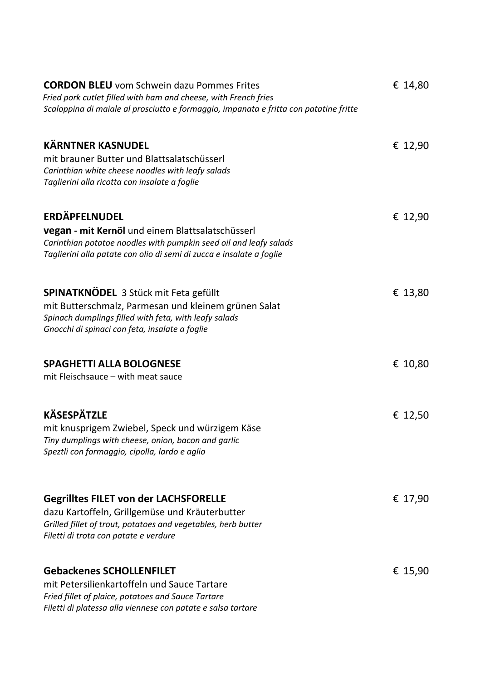| <b>CORDON BLEU</b> vom Schwein dazu Pommes Frites<br>Fried pork cutlet filled with ham and cheese, with French fries<br>Scaloppina di maiale al prosciutto e formaggio, impanata e fritta con patatine fritte                | € 14,80 |
|------------------------------------------------------------------------------------------------------------------------------------------------------------------------------------------------------------------------------|---------|
| <b>KÄRNTNER KASNUDEL</b><br>mit brauner Butter und Blattsalatschüsserl<br>Carinthian white cheese noodles with leafy salads<br>Taglierini alla ricotta con insalate a foglie                                                 | € 12,90 |
| <b>ERDÄPFELNUDEL</b><br><b>vegan - mit Kernöl</b> und einem Blattsalatschüsserl<br>Carinthian potatoe noodles with pumpkin seed oil and leafy salads<br>Taglierini alla patate con olio di semi di zucca e insalate a foglie | € 12,90 |
| <b>SPINATKNÖDEL 3 Stück mit Feta gefüllt</b><br>mit Butterschmalz, Parmesan und kleinem grünen Salat<br>Spinach dumplings filled with feta, with leafy salads<br>Gnocchi di spinaci con feta, insalate a foglie              | € 13,80 |
| <b>SPAGHETTI ALLA BOLOGNESE</b><br>mit Fleischsauce - with meat sauce                                                                                                                                                        | € 10,80 |
| <b>KÄSESPÄTZLE</b><br>mit knusprigem Zwiebel, Speck und würzigem Käse<br>Tiny dumplings with cheese, onion, bacon and garlic<br>Speztli con formaggio, cipolla, lardo e aglio                                                | € 12,50 |
| <b>Gegrilltes FILET von der LACHSFORELLE</b><br>dazu Kartoffeln, Grillgemüse und Kräuterbutter<br>Grilled fillet of trout, potatoes and vegetables, herb butter<br>Filetti di trota con patate e verdure                     | € 17,90 |
| <b>Gebackenes SCHOLLENFILET</b><br>mit Petersilienkartoffeln und Sauce Tartare<br>Fried fillet of plaice, potatoes and Sauce Tartare<br>Filetti di platessa alla viennese con patate e salsa tartare                         | € 15,90 |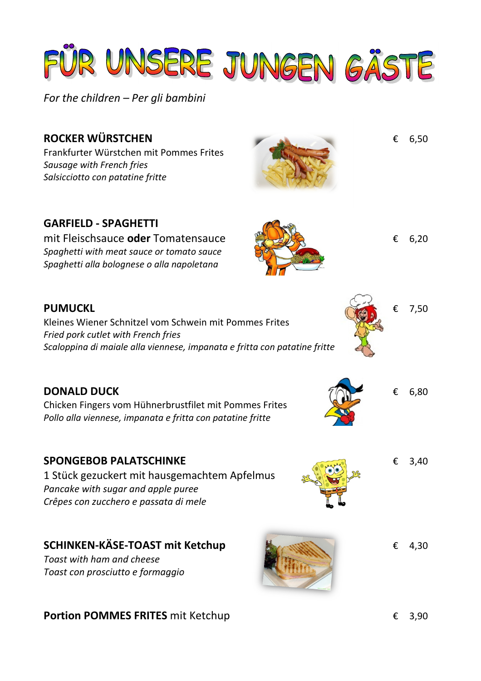

*For the children – Per gli bambini*

### **ROCKER WÜRSTCHEN** € 6,50 Frankfurter Würstchen mit Pommes Frites *Sausage with French fries Salsicciotto con patatine fritte*  **GARFIELD - SPAGHETTI** mit Fleischsauce **oder** Tomatensauce € 6,20 *Spaghetti with meat sauce or tomato sauce Spaghetti alla bolognese o alla napoletana*  **PUMUCKL** € 7,50 Kleines Wiener Schnitzel vom Schwein mit Pommes Frites *Fried pork cutlet with French fries Scaloppina di maiale alla viennese, impanata e fritta con patatine fritte*  **DONALD DUCK**  $\epsilon$  6,80 Chicken Fingers vom Hühnerbrustfilet mit Pommes Frites *Pollo alla viennese, impanata e fritta con patatine fritte*  **SPONGEBOB PALATSCHINKE** € 3,40 1 Stück gezuckert mit hausgemachtem Apfelmus *Pancake with sugar and apple puree Crêpes con zucchero e passata di mele*  **SCHINKEN-KÄSE-TOAST mit Ketchup** € 4,30 *Toast with ham and cheese Toast con prosciutto e formaggio*

**Portion POMMES FRITES** mit Ketchup **€ 3,90**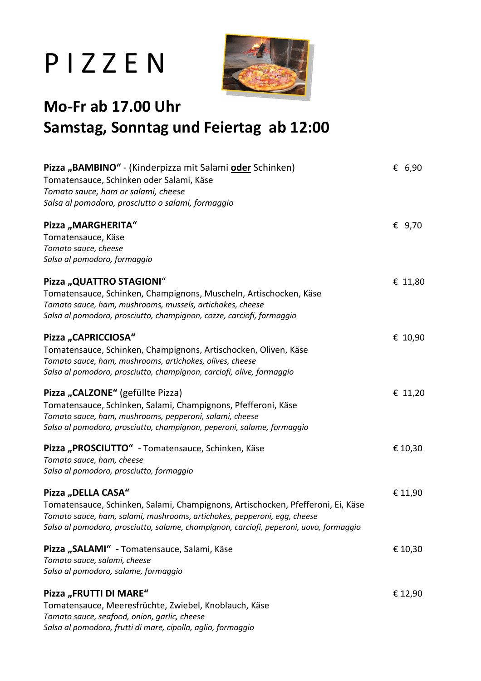## P I Z Z E N



#### **Mo-Fr ab 17.00 Uhr Samstag, Sonntag und Feiertag ab 12:00**

| Pizza "BAMBINO" - (Kinderpizza mit Salami oder Schinken)                               | $\epsilon$ 6,90 |
|----------------------------------------------------------------------------------------|-----------------|
| Tomatensauce, Schinken oder Salami, Käse                                               |                 |
| Tomato sauce, ham or salami, cheese                                                    |                 |
| Salsa al pomodoro, prosciutto o salami, formaggio                                      |                 |
| Pizza "MARGHERITA"                                                                     | € 9,70          |
| Tomatensauce, Käse                                                                     |                 |
| Tomato sauce, cheese                                                                   |                 |
| Salsa al pomodoro, formaggio                                                           |                 |
| Pizza "QUATTRO STAGIONI"                                                               | € 11,80         |
| Tomatensauce, Schinken, Champignons, Muscheln, Artischocken, Käse                      |                 |
| Tomato sauce, ham, mushrooms, mussels, artichokes, cheese                              |                 |
| Salsa al pomodoro, prosciutto, champignon, cozze, carciofi, formaggio                  |                 |
| Pizza "CAPRICCIOSA"                                                                    | € 10,90         |
| Tomatensauce, Schinken, Champignons, Artischocken, Oliven, Käse                        |                 |
| Tomato sauce, ham, mushrooms, artichokes, olives, cheese                               |                 |
| Salsa al pomodoro, prosciutto, champignon, carciofi, olive, formaggio                  |                 |
| Pizza "CALZONE" (gefüllte Pizza)                                                       | € 11,20         |
| Tomatensauce, Schinken, Salami, Champignons, Pfefferoni, Käse                          |                 |
| Tomato sauce, ham, mushrooms, pepperoni, salami, cheese                                |                 |
| Salsa al pomodoro, prosciutto, champignon, peperoni, salame, formaggio                 |                 |
| Pizza "PROSCIUTTO" - Tomatensauce, Schinken, Käse                                      | € 10,30         |
| Tomato sauce, ham, cheese                                                              |                 |
| Salsa al pomodoro, prosciutto, formaggio                                               |                 |
| Pizza "DELLA CASA"                                                                     | € 11,90         |
| Tomatensauce, Schinken, Salami, Champignons, Artischocken, Pfefferoni, Ei, Käse        |                 |
| Tomato sauce, ham, salami, mushrooms, artichokes, pepperoni, egg, cheese               |                 |
| Salsa al pomodoro, prosciutto, salame, champignon, carciofi, peperoni, uovo, formaggio |                 |
| Pizza "SALAMI" - Tomatensauce, Salami, Käse                                            | € 10,30         |
| Tomato sauce, salami, cheese                                                           |                 |
| Salsa al pomodoro, salame, formaggio                                                   |                 |
| Pizza "FRUTTI DI MARE"                                                                 | € 12,90         |
| Tomatensauce, Meeresfrüchte, Zwiebel, Knoblauch, Käse                                  |                 |
| Tomato sauce, seafood, onion, garlic, cheese                                           |                 |
| Salsa al pomodoro, frutti di mare, cipolla, aglio, formaggio                           |                 |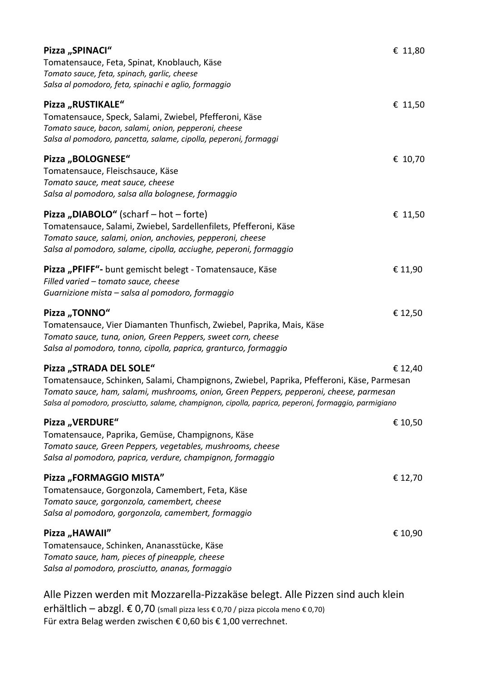| Pizza "SPINACI"<br>Tomatensauce, Feta, Spinat, Knoblauch, Käse<br>Tomato sauce, feta, spinach, garlic, cheese                                                                                                                                                                                                           | € 11,80 |
|-------------------------------------------------------------------------------------------------------------------------------------------------------------------------------------------------------------------------------------------------------------------------------------------------------------------------|---------|
| Salsa al pomodoro, feta, spinachi e aglio, formaggio<br>Pizza "RUSTIKALE"<br>Tomatensauce, Speck, Salami, Zwiebel, Pfefferoni, Käse<br>Tomato sauce, bacon, salami, onion, pepperoni, cheese<br>Salsa al pomodoro, pancetta, salame, cipolla, peperoni, formaggi                                                        | € 11,50 |
| Pizza "BOLOGNESE"<br>Tomatensauce, Fleischsauce, Käse<br>Tomato sauce, meat sauce, cheese<br>Salsa al pomodoro, salsa alla bolognese, formaggio                                                                                                                                                                         | € 10,70 |
| Pizza "DIABOLO" (scharf - hot - forte)<br>Tomatensauce, Salami, Zwiebel, Sardellenfilets, Pfefferoni, Käse<br>Tomato sauce, salami, onion, anchovies, pepperoni, cheese<br>Salsa al pomodoro, salame, cipolla, acciughe, peperoni, formaggio                                                                            | € 11,50 |
| Pizza "PFIFF"- bunt gemischt belegt - Tomatensauce, Käse<br>Filled varied - tomato sauce, cheese<br>Guarnizione mista – salsa al pomodoro, formaggio                                                                                                                                                                    | € 11,90 |
| Pizza "TONNO"<br>Tomatensauce, Vier Diamanten Thunfisch, Zwiebel, Paprika, Mais, Käse<br>Tomato sauce, tuna, onion, Green Peppers, sweet corn, cheese<br>Salsa al pomodoro, tonno, cipolla, paprica, granturco, formaggio                                                                                               | € 12,50 |
| Pizza "STRADA DEL SOLE"<br>Tomatensauce, Schinken, Salami, Champignons, Zwiebel, Paprika, Pfefferoni, Käse, Parmesan<br>Tomato sauce, ham, salami, mushrooms, onion, Green Peppers, pepperoni, cheese, parmesan<br>Salsa al pomodoro, prosciutto, salame, champignon, cipolla, paprica, peperoni, formaggio, parmigiano | € 12,40 |
| Pizza "VERDURE"<br>Tomatensauce, Paprika, Gemüse, Champignons, Käse<br>Tomato sauce, Green Peppers, vegetables, mushrooms, cheese<br>Salsa al pomodoro, paprica, verdure, champignon, formaggio                                                                                                                         | € 10,50 |
| Pizza "FORMAGGIO MISTA"<br>Tomatensauce, Gorgonzola, Camembert, Feta, Käse<br>Tomato sauce, gorgonzola, camembert, cheese<br>Salsa al pomodoro, gorgonzola, camembert, formaggio                                                                                                                                        | € 12,70 |
| Pizza "HAWAII"<br>Tomatensauce, Schinken, Ananasstücke, Käse<br>Tomato sauce, ham, pieces of pineapple, cheese<br>Salsa al pomodoro, prosciutto, ananas, formaggio                                                                                                                                                      | € 10,90 |
|                                                                                                                                                                                                                                                                                                                         |         |

Alle Pizzen werden mit Mozzarella-Pizzakäse belegt. Alle Pizzen sind auch klein erhältlich – abzgl. € 0,70 (small pizza less € 0,70 / pizza piccola meno € 0,70) Für extra Belag werden zwischen € 0,60 bis € 1,00 verrechnet.